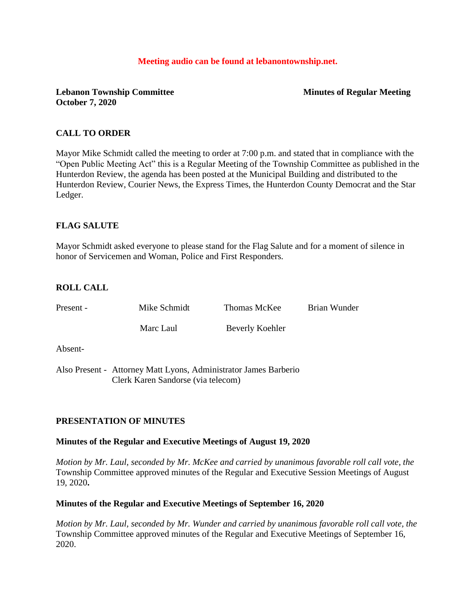### **Meeting audio can be found at lebanontownship.net.**

## **Lebanon Township Committee Minutes of Regular Meeting October 7, 2020**

## **CALL TO ORDER**

Mayor Mike Schmidt called the meeting to order at 7:00 p.m. and stated that in compliance with the "Open Public Meeting Act" this is a Regular Meeting of the Township Committee as published in the Hunterdon Review, the agenda has been posted at the Municipal Building and distributed to the Hunterdon Review, Courier News, the Express Times, the Hunterdon County Democrat and the Star Ledger.

## **FLAG SALUTE**

Mayor Schmidt asked everyone to please stand for the Flag Salute and for a moment of silence in honor of Servicemen and Woman, Police and First Responders.

## **ROLL CALL**

| Present -                                                        | Mike Schmidt | Thomas McKee    | Brian Wunder |
|------------------------------------------------------------------|--------------|-----------------|--------------|
|                                                                  | Marc Laul    | Beverly Koehler |              |
| Absent-                                                          |              |                 |              |
| Also Present - Attorney Matt Lyons, Administrator James Barberio |              |                 |              |

## **PRESENTATION OF MINUTES**

## **Minutes of the Regular and Executive Meetings of August 19, 2020**

Clerk Karen Sandorse (via telecom)

*Motion by Mr. Laul, seconded by Mr. McKee and carried by unanimous favorable roll call vote, the* Township Committee approved minutes of the Regular and Executive Session Meetings of August 19, 2020**.**

## **Minutes of the Regular and Executive Meetings of September 16, 2020**

*Motion by Mr. Laul, seconded by Mr. Wunder and carried by unanimous favorable roll call vote, the* Township Committee approved minutes of the Regular and Executive Meetings of September 16, 2020.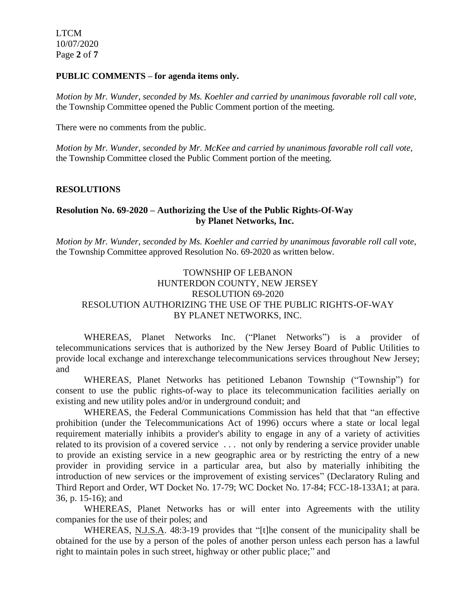### **PUBLIC COMMENTS – for agenda items only.**

*Motion by Mr. Wunder, seconded by Ms. Koehler and carried by unanimous favorable roll call vote,* the Township Committee opened the Public Comment portion of the meeting.

There were no comments from the public.

*Motion by Mr. Wunder, seconded by Mr. McKee and carried by unanimous favorable roll call vote,* the Township Committee closed the Public Comment portion of the meeting.

### **RESOLUTIONS**

## **Resolution No. 69-2020 – Authorizing the Use of the Public Rights-Of-Way by Planet Networks, Inc.**

*Motion by Mr. Wunder, seconded by Ms. Koehler and carried by unanimous favorable roll call vote,* the Township Committee approved Resolution No. 69-2020 as written below.

## TOWNSHIP OF LEBANON HUNTERDON COUNTY, NEW JERSEY RESOLUTION 69-2020 RESOLUTION AUTHORIZING THE USE OF THE PUBLIC RIGHTS-OF-WAY BY PLANET NETWORKS, INC.

WHEREAS, Planet Networks Inc. ("Planet Networks") is a provider of telecommunications services that is authorized by the New Jersey Board of Public Utilities to provide local exchange and interexchange telecommunications services throughout New Jersey; and

WHEREAS, Planet Networks has petitioned Lebanon Township ("Township") for consent to use the public rights-of-way to place its telecommunication facilities aerially on existing and new utility poles and/or in underground conduit; and

WHEREAS, the Federal Communications Commission has held that that "an effective prohibition (under the Telecommunications Act of 1996) occurs where a state or local legal requirement materially inhibits a provider's ability to engage in any of a variety of activities related to its provision of a covered service . . . not only by rendering a service provider unable to provide an existing service in a new geographic area or by restricting the entry of a new provider in providing service in a particular area, but also by materially inhibiting the introduction of new services or the improvement of existing services" (Declaratory Ruling and Third Report and Order, WT Docket No. 17-79; WC Docket No. 17-84; FCC-18-133A1; at para. 36, p. 15-16); and

WHEREAS, Planet Networks has or will enter into Agreements with the utility companies for the use of their poles; and

WHEREAS, N.J.S.A. 48:3-19 provides that "[t]he consent of the municipality shall be obtained for the use by a person of the poles of another person unless each person has a lawful right to maintain poles in such street, highway or other public place;" and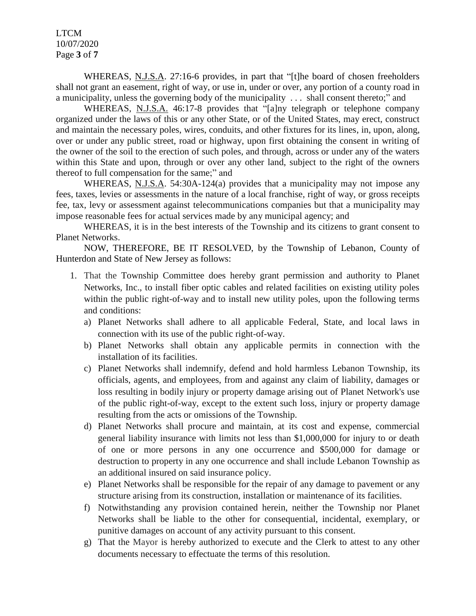LTCM 10/07/2020 Page **3** of **7**

WHEREAS, N.J.S.A. 27:16-6 provides, in part that "[t]he board of chosen freeholders shall not grant an easement, right of way, or use in, under or over, any portion of a county road in a municipality, unless the governing body of the municipality . . . shall consent thereto;" and

WHEREAS, N.J.S.A. 46:17-8 provides that "[a]ny telegraph or telephone company organized under the laws of this or any other State, or of the United States, may erect, construct and maintain the necessary poles, wires, conduits, and other fixtures for its lines, in, upon, along, over or under any public street, road or highway, upon first obtaining the consent in writing of the owner of the soil to the erection of such poles, and through, across or under any of the waters within this State and upon, through or over any other land, subject to the right of the owners thereof to full compensation for the same;" and

WHEREAS, N.J.S.A. 54:30A-124(a) provides that a municipality may not impose any fees, taxes, levies or assessments in the nature of a local franchise, right of way, or gross receipts fee, tax, levy or assessment against telecommunications companies but that a municipality may impose reasonable fees for actual services made by any municipal agency; and

WHEREAS, it is in the best interests of the Township and its citizens to grant consent to Planet Networks.

NOW, THEREFORE, BE IT RESOLVED, by the Township of Lebanon, County of Hunterdon and State of New Jersey as follows:

- 1. That the Township Committee does hereby grant permission and authority to Planet Networks, Inc., to install fiber optic cables and related facilities on existing utility poles within the public right-of-way and to install new utility poles, upon the following terms and conditions:
	- a) Planet Networks shall adhere to all applicable Federal, State, and local laws in connection with its use of the public right-of-way.
	- b) Planet Networks shall obtain any applicable permits in connection with the installation of its facilities.
	- c) Planet Networks shall indemnify, defend and hold harmless Lebanon Township, its officials, agents, and employees, from and against any claim of liability, damages or loss resulting in bodily injury or property damage arising out of Planet Network's use of the public right-of-way, except to the extent such loss, injury or property damage resulting from the acts or omissions of the Township.
	- d) Planet Networks shall procure and maintain, at its cost and expense, commercial general liability insurance with limits not less than \$1,000,000 for injury to or death of one or more persons in any one occurrence and \$500,000 for damage or destruction to property in any one occurrence and shall include Lebanon Township as an additional insured on said insurance policy.
	- e) Planet Networks shall be responsible for the repair of any damage to pavement or any structure arising from its construction, installation or maintenance of its facilities.
	- f) Notwithstanding any provision contained herein, neither the Township nor Planet Networks shall be liable to the other for consequential, incidental, exemplary, or punitive damages on account of any activity pursuant to this consent.
	- g) That the Mayor is hereby authorized to execute and the Clerk to attest to any other documents necessary to effectuate the terms of this resolution.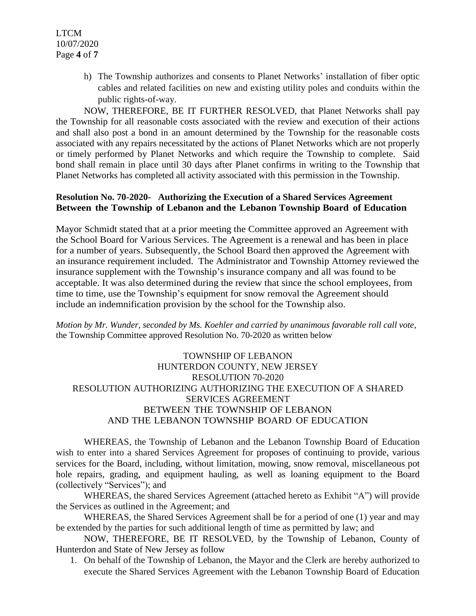h) The Township authorizes and consents to Planet Networks' installation of fiber optic cables and related facilities on new and existing utility poles and conduits within the public rights-of-way.

NOW, THEREFORE, BE IT FURTHER RESOLVED, that Planet Networks shall pay the Township for all reasonable costs associated with the review and execution of their actions and shall also post a bond in an amount determined by the Township for the reasonable costs associated with any repairs necessitated by the actions of Planet Networks which are not properly or timely performed by Planet Networks and which require the Township to complete. Said bond shall remain in place until 30 days after Planet confirms in writing to the Township that Planet Networks has completed all activity associated with this permission in the Township.

# **Resolution No. 70-2020- Authorizing the Execution of a Shared Services Agreement Between the Township of Lebanon and the Lebanon Township Board of Education**

Mayor Schmidt stated that at a prior meeting the Committee approved an Agreement with the School Board for Various Services. The Agreement is a renewal and has been in place for a number of years. Subsequently, the School Board then approved the Agreement with an insurance requirement included. The Administrator and Township Attorney reviewed the insurance supplement with the Township's insurance company and all was found to be acceptable. It was also determined during the review that since the school employees, from time to time, use the Township's equipment for snow removal the Agreement should include an indemnification provision by the school for the Township also.

*Motion by Mr. Wunder, seconded by Ms. Koehler and carried by unanimous favorable roll call vote,* the Township Committee approved Resolution No. 70-2020 as written below

# TOWNSHIP OF LEBANON HUNTERDON COUNTY, NEW JERSEY RESOLUTION 70-2020 RESOLUTION AUTHORIZING AUTHORIZING THE EXECUTION OF A SHARED SERVICES AGREEMENT BETWEEN THE TOWNSHIP OF LEBANON AND THE LEBANON TOWNSHIP BOARD OF EDUCATION

WHEREAS, the Township of Lebanon and the Lebanon Township Board of Education wish to enter into a shared Services Agreement for proposes of continuing to provide, various services for the Board, including, without limitation, mowing, snow removal, miscellaneous pot hole repairs, grading, and equipment hauling, as well as loaning equipment to the Board (collectively "Services"); and

WHEREAS, the shared Services Agreement (attached hereto as Exhibit "A") will provide the Services as outlined in the Agreement; and

WHEREAS, the Shared Services Agreement shall be for a period of one (1) year and may be extended by the parties for such additional length of time as permitted by law; and

NOW, THEREFORE, BE IT RESOLVED, by the Township of Lebanon, County of Hunterdon and State of New Jersey as follow

1. On behalf of the Township of Lebanon, the Mayor and the Clerk are hereby authorized to execute the Shared Services Agreement with the Lebanon Township Board of Education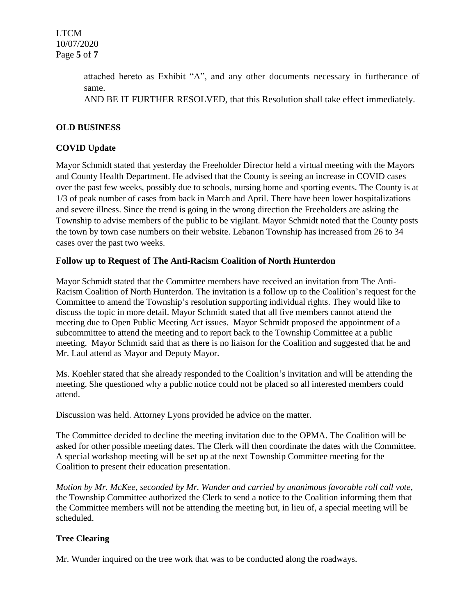attached hereto as Exhibit "A", and any other documents necessary in furtherance of same.

AND BE IT FURTHER RESOLVED, that this Resolution shall take effect immediately.

# **OLD BUSINESS**

# **COVID Update**

Mayor Schmidt stated that yesterday the Freeholder Director held a virtual meeting with the Mayors and County Health Department. He advised that the County is seeing an increase in COVID cases over the past few weeks, possibly due to schools, nursing home and sporting events. The County is at 1/3 of peak number of cases from back in March and April. There have been lower hospitalizations and severe illness. Since the trend is going in the wrong direction the Freeholders are asking the Township to advise members of the public to be vigilant. Mayor Schmidt noted that the County posts the town by town case numbers on their website. Lebanon Township has increased from 26 to 34 cases over the past two weeks.

## **Follow up to Request of The Anti-Racism Coalition of North Hunterdon**

Mayor Schmidt stated that the Committee members have received an invitation from The Anti-Racism Coalition of North Hunterdon. The invitation is a follow up to the Coalition's request for the Committee to amend the Township's resolution supporting individual rights. They would like to discuss the topic in more detail. Mayor Schmidt stated that all five members cannot attend the meeting due to Open Public Meeting Act issues. Mayor Schmidt proposed the appointment of a subcommittee to attend the meeting and to report back to the Township Committee at a public meeting. Mayor Schmidt said that as there is no liaison for the Coalition and suggested that he and Mr. Laul attend as Mayor and Deputy Mayor.

Ms. Koehler stated that she already responded to the Coalition's invitation and will be attending the meeting. She questioned why a public notice could not be placed so all interested members could attend.

Discussion was held. Attorney Lyons provided he advice on the matter.

The Committee decided to decline the meeting invitation due to the OPMA. The Coalition will be asked for other possible meeting dates. The Clerk will then coordinate the dates with the Committee. A special workshop meeting will be set up at the next Township Committee meeting for the Coalition to present their education presentation.

*Motion by Mr. McKee, seconded by Mr. Wunder and carried by unanimous favorable roll call vote,* the Township Committee authorized the Clerk to send a notice to the Coalition informing them that the Committee members will not be attending the meeting but, in lieu of, a special meeting will be scheduled.

# **Tree Clearing**

Mr. Wunder inquired on the tree work that was to be conducted along the roadways.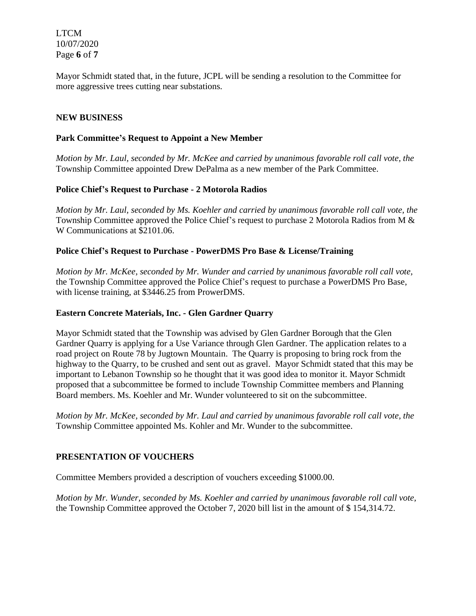LTCM 10/07/2020 Page **6** of **7**

Mayor Schmidt stated that, in the future, JCPL will be sending a resolution to the Committee for more aggressive trees cutting near substations.

## **NEW BUSINESS**

#### **Park Committee's Request to Appoint a New Member**

*Motion by Mr. Laul, seconded by Mr. McKee and carried by unanimous favorable roll call vote, the* Township Committee appointed Drew DePalma as a new member of the Park Committee.

#### **Police Chief's Request to Purchase - 2 Motorola Radios**

*Motion by Mr. Laul, seconded by Ms. Koehler and carried by unanimous favorable roll call vote, the* Township Committee approved the Police Chief's request to purchase 2 Motorola Radios from M  $\&$ W Communications at \$2101.06.

### **Police Chief's Request to Purchase - PowerDMS Pro Base & License/Training**

*Motion by Mr. McKee, seconded by Mr. Wunder and carried by unanimous favorable roll call vote,* the Township Committee approved the Police Chief's request to purchase a PowerDMS Pro Base, with license training, at \$3446.25 from ProwerDMS.

#### **Eastern Concrete Materials, Inc. - Glen Gardner Quarry**

Mayor Schmidt stated that the Township was advised by Glen Gardner Borough that the Glen Gardner Quarry is applying for a Use Variance through Glen Gardner. The application relates to a road project on Route 78 by Jugtown Mountain. The Quarry is proposing to bring rock from the highway to the Quarry, to be crushed and sent out as gravel. Mayor Schmidt stated that this may be important to Lebanon Township so he thought that it was good idea to monitor it. Mayor Schmidt proposed that a subcommittee be formed to include Township Committee members and Planning Board members. Ms. Koehler and Mr. Wunder volunteered to sit on the subcommittee.

*Motion by Mr. McKee, seconded by Mr. Laul and carried by unanimous favorable roll call vote, the* Township Committee appointed Ms. Kohler and Mr. Wunder to the subcommittee.

## **PRESENTATION OF VOUCHERS**

Committee Members provided a description of vouchers exceeding \$1000.00.

*Motion by Mr. Wunder, seconded by Ms. Koehler and carried by unanimous favorable roll call vote,* the Township Committee approved the October 7, 2020 bill list in the amount of \$ 154,314.72.